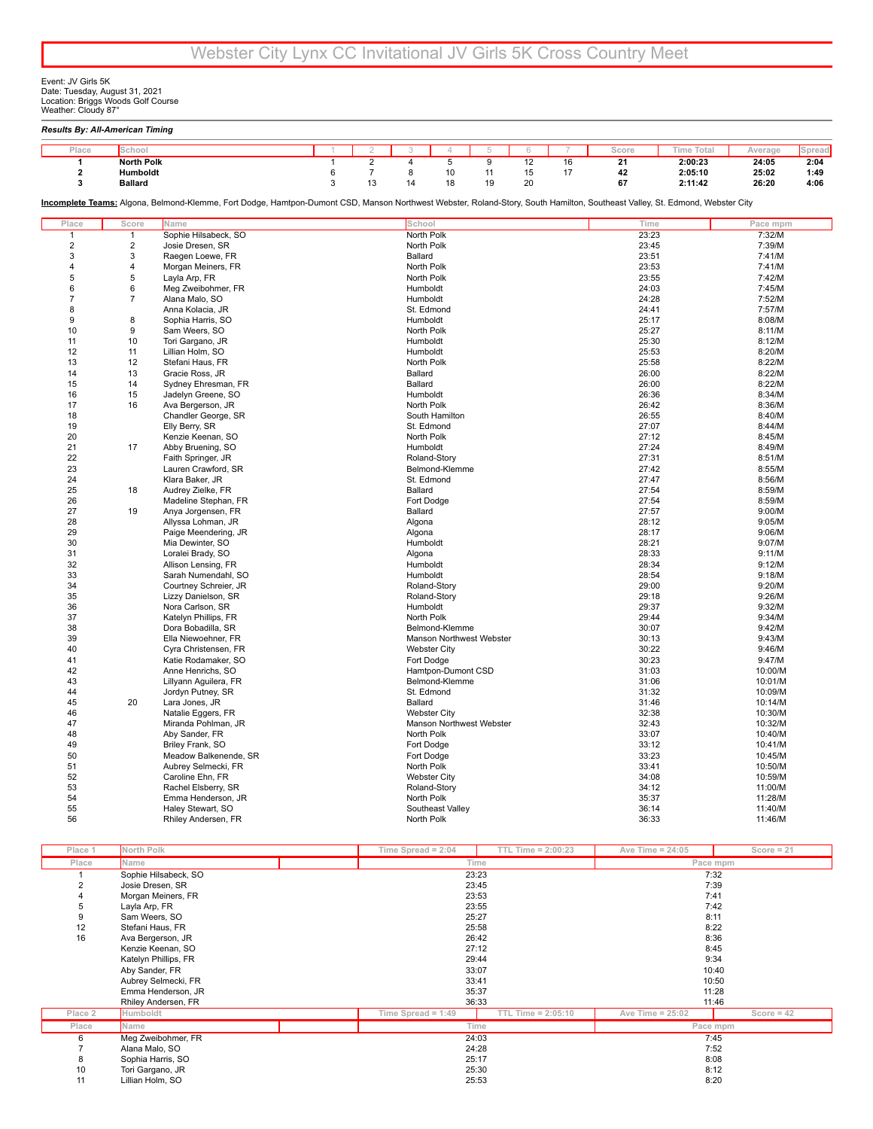Event: JV Girls 5K<br>Date: Tuesday, August 31, 2021<br>Location: Briggs Woods Golf Course<br>Weather: Cloudy 87°

| Place          | School            |                                                                                                                                                                              | $\lceil$       | $\overline{2}$ | 3              | 4                            | 5  | 6  | 7  | Score           | <b>Time Total</b> | Average          | Spread |
|----------------|-------------------|------------------------------------------------------------------------------------------------------------------------------------------------------------------------------|----------------|----------------|----------------|------------------------------|----|----|----|-----------------|-------------------|------------------|--------|
| 1              | <b>North Polk</b> |                                                                                                                                                                              | $\overline{1}$ | $\overline{2}$ | $\overline{4}$ | $\overline{5}$               | 9  | 12 | 16 | $\overline{21}$ | 2:00:23           | 24:05            | 2:04   |
| $\mathbf{2}$   | Humboldt          |                                                                                                                                                                              | 6              | $\overline{7}$ | 8              | 10                           | 11 | 15 | 17 | 42              | 2:05:10           | 25:02            | 1:49   |
| 3              | <b>Ballard</b>    |                                                                                                                                                                              | 3              | 13             | 14             | 18                           | 19 | 20 |    | 67              | 2:11:42           | 26:20            | 4:06   |
|                |                   | Incomplete Teams: Algona, Belmond-Klemme, Fort Dodge, Hamtpon-Dumont CSD, Manson Northwest Webster, Roland-Story, South Hamilton, Southeast Valley, St. Edmond, Webster City |                |                |                |                              |    |    |    |                 |                   |                  |        |
| Place          | Score             | Name                                                                                                                                                                         |                |                | School         |                              |    |    |    |                 | Time              | Pace mpm         |        |
| $\mathbf{1}$   | $\mathbf{1}$      | Sophie Hilsabeck, SO                                                                                                                                                         |                |                | North Polk     |                              |    |    |    |                 | 23:23             | 7:32/M           |        |
| $\overline{2}$ | $\overline{2}$    | Josie Dresen, SR                                                                                                                                                             |                |                | North Polk     |                              |    |    |    |                 | 23:45             | 7:39/M           |        |
| 3              | 3                 | Raegen Loewe, FR                                                                                                                                                             |                |                | Ballard        |                              |    |    |    | 23:51           |                   | 7:41/M           |        |
| 4              | 4                 | Morgan Meiners, FR                                                                                                                                                           |                |                | North Polk     |                              |    |    |    |                 | 23:53             | 7:41/M           |        |
| 5              | 5                 | Layla Arp, FR                                                                                                                                                                |                |                | North Polk     |                              |    |    |    |                 | 23:55             | 7:42/M           |        |
| 6              | 6                 | Meg Zweibohmer, FR                                                                                                                                                           |                |                | Humboldt       |                              |    |    |    |                 | 24:03             | 7:45/M           |        |
| 7              | $\overline{7}$    | Alana Malo, SO                                                                                                                                                               |                |                | Humboldt       |                              |    |    |    |                 | 24:28             | 7:52/M           |        |
| 8              |                   | Anna Kolacia, JR                                                                                                                                                             |                |                |                | St. Edmond                   |    |    |    |                 | 24:41             | 7:57/M           |        |
| 9              | 8                 | Sophia Harris, SO                                                                                                                                                            |                |                | Humboldt       |                              |    |    |    |                 | 25:17             | 8:08/M           |        |
| 10             | 9                 | Sam Weers, SO                                                                                                                                                                |                |                | North Polk     |                              |    |    |    |                 | 25:27             | 8:11/M           |        |
| 11             | 10                | Tori Gargano, JR                                                                                                                                                             |                |                | Humboldt       |                              |    |    |    |                 | 25:30             | 8:12/M           |        |
| 12             | 11                | Lillian Holm, SO                                                                                                                                                             |                |                | Humboldt       |                              |    |    |    |                 | 25:53             | 8:20/M           |        |
| 13             | 12                | Stefani Haus, FR                                                                                                                                                             |                |                | North Polk     |                              |    |    |    |                 | 25:58             | 8:22/M           |        |
| 14             | 13                | Gracie Ross, JR                                                                                                                                                              |                |                | Ballard        |                              |    |    |    |                 | 26:00             | 8:22/M           |        |
| 15             | 14                | Sydney Ehresman, FR                                                                                                                                                          |                |                | Ballard        |                              |    |    |    |                 | 26:00             | 8:22/M           |        |
| 16             | 15                | Jadelyn Greene, SO                                                                                                                                                           |                |                | Humboldt       |                              |    |    |    |                 | 26:36             | 8:34/M           |        |
| 17             | 16                | Ava Bergerson, JR                                                                                                                                                            |                |                | North Polk     |                              |    |    |    |                 | 26:42             | 8:36/M           |        |
| 18<br>19       |                   | Chandler George, SR<br>Elly Berry, SR                                                                                                                                        |                |                |                | South Hamilton<br>St. Edmond |    |    |    |                 | 26:55<br>27:07    | 8:40/M<br>8:44/M |        |
| 20             |                   | Kenzie Keenan, SO                                                                                                                                                            |                |                | North Polk     |                              |    |    |    |                 | 27:12             | 8:45/M           |        |
| 21             | 17                | Abby Bruening, SO                                                                                                                                                            |                |                | Humboldt       |                              |    |    |    |                 | 27:24             | 8:49/M           |        |
| 22             |                   | Faith Springer, JR                                                                                                                                                           |                |                |                | Roland-Story                 |    |    |    | 27:31           |                   | 8:51/M           |        |
| 23             |                   | Lauren Crawford, SR                                                                                                                                                          |                |                |                | Belmond-Klemme               |    |    |    |                 | 27:42             | 8:55/M           |        |
| 24             |                   | Klara Baker, JR                                                                                                                                                              |                |                |                | St. Edmond                   |    |    |    |                 | 27:47             | 8:56/M           |        |
| 25             | 18                | Audrey Zielke, FR                                                                                                                                                            |                |                | Ballard        |                              |    |    |    |                 | 27:54             | 8:59/M           |        |
| 26             |                   | Madeline Stephan, FR                                                                                                                                                         |                |                |                | Fort Dodge                   |    |    |    |                 | 27:54             | 8:59/M           |        |
| 27             | 19                | Anya Jorgensen, FR                                                                                                                                                           |                |                | Ballard        |                              |    |    |    |                 | 27:57             | 9:00/M           |        |
| 28             |                   | Allyssa Lohman, JR                                                                                                                                                           |                |                | Algona         |                              |    |    |    |                 | 28:12             | 9:05/M           |        |
| 29             |                   | Paige Meendering, JR                                                                                                                                                         |                |                | Algona         |                              |    |    |    |                 | 28:17             | 9:06/M           |        |
| 30             |                   | Mia Dewinter, SO                                                                                                                                                             |                |                | Humboldt       |                              |    |    |    | 28:21           |                   | 9:07/M           |        |
| 31             |                   | Loralei Brady, SO                                                                                                                                                            |                |                | Algona         |                              |    |    |    |                 | 28:33             | 9:11/M           |        |
| 32             |                   | Allison Lensing, FR                                                                                                                                                          |                |                | Humboldt       |                              |    |    |    |                 | 28:34             | 9:12/M           |        |
| 33             |                   | Sarah Numendahl, SO                                                                                                                                                          |                |                | Humboldt       |                              |    |    |    |                 | 28:54             | 9:18/M           |        |
| 34             |                   | Courtney Schreier, JR                                                                                                                                                        |                |                |                | Roland-Story                 |    |    |    |                 | 29:00             | 9:20/M           |        |
| 35             |                   | Lizzy Danielson, SR                                                                                                                                                          |                |                |                | Roland-Story                 |    |    |    |                 | 29:18             | 9:26/M           |        |
| 36             |                   | Nora Carlson, SR                                                                                                                                                             |                |                | Humboldt       |                              |    |    |    |                 | 29:37             | 9:32/M           |        |
| 37             |                   | Katelyn Phillips, FR                                                                                                                                                         |                |                | North Polk     |                              |    |    |    |                 | 29:44             | 9:34/M           |        |
| 38             |                   | Dora Bobadilla, SR                                                                                                                                                           |                |                |                | Belmond-Klemme               |    |    |    |                 | 30:07             | 9:42/M           |        |
| 39             |                   | Ella Niewoehner, FR                                                                                                                                                          |                |                |                | Manson Northwest Webster     |    |    |    |                 | 30:13             | 9:43/M           |        |
| 40             |                   | Cyra Christensen, FR                                                                                                                                                         |                |                |                | <b>Webster City</b>          |    |    |    |                 | 30:22             | 9:46/M           |        |
| 41             |                   | Katie Rodamaker, SO                                                                                                                                                          |                |                |                | Fort Dodge                   |    |    |    |                 | 30:23             | 9:47/M           |        |
| 42             |                   | Anne Henrichs, SO                                                                                                                                                            |                |                |                | Hamtpon-Dumont CSD           |    |    |    |                 | 31:03             | 10:00/M          |        |
| 43             |                   | Lillyann Aguilera, FR                                                                                                                                                        |                |                |                | Belmond-Klemme               |    |    |    |                 | 31:06             | 10:01/M          |        |
| 44             |                   | Jordyn Putney, SR                                                                                                                                                            |                |                |                | St. Edmond                   |    |    |    |                 | 31:32             | 10:09/M          |        |
| 45             | 20                | Lara Jones, JR                                                                                                                                                               |                |                | Ballard        |                              |    |    |    |                 | 31:46             | 10:14/M          |        |
| 46             |                   | Natalie Eggers, FR                                                                                                                                                           |                |                |                | <b>Webster City</b>          |    |    |    |                 | 32:38             | 10:30/M          |        |
| 47             |                   | Miranda Pohlman, JR                                                                                                                                                          |                |                |                | Manson Northwest Webster     |    |    |    |                 | 32:43             | 10:32/M          |        |
| 48             |                   | Aby Sander, FR                                                                                                                                                               |                |                | North Polk     |                              |    |    |    |                 | 33:07             | 10:40/M          |        |
| 49             |                   | Briley Frank, SO                                                                                                                                                             |                |                |                | Fort Dodge                   |    |    |    |                 | 33:12             | 10:41/M          |        |
| 50             |                   | Meadow Balkenende, SR                                                                                                                                                        |                |                |                | Fort Dodge                   |    |    |    |                 | 33:23             | 10:45/M          |        |
| 51             |                   | Aubrey Selmecki, FR                                                                                                                                                          |                |                | North Polk     |                              |    |    |    |                 | 33:41             | 10:50/M          |        |
| 52             |                   | Caroline Ehn, FR                                                                                                                                                             |                |                |                | <b>Webster City</b>          |    |    |    |                 | 34:08             | 10:59/M          |        |
| 53             |                   | Rachel Elsberry, SR                                                                                                                                                          |                |                |                | Roland-Story                 |    |    |    |                 | 34:12             | 11:00/M          |        |
| 54             |                   | Emma Henderson, JR                                                                                                                                                           |                |                |                | North Polk                   |    |    |    |                 | 35:37             | 11:28/M          |        |
| 55             |                   | Haley Stewart, SO                                                                                                                                                            |                |                |                | Southeast Valley             |    |    |    |                 | 36:14             | 11:40/M          |        |
| 56             |                   | Rhiley Andersen, FR                                                                                                                                                          |                |                | North Polk     |                              |    |    |    |                 | 36:33             | 11:46/M          |        |

| Place 1 | North Polk           | Time Spread = $2:04$ | $TTL$ Time = 2:00:23 | Ave Time = $24:05$                               | $Score = 21$ |  |
|---------|----------------------|----------------------|----------------------|--------------------------------------------------|--------------|--|
| Place   | Name                 |                      | Time                 | Pace mpm                                         |              |  |
|         | Sophie Hilsabeck, SO | 23:23                |                      | 7:32                                             |              |  |
|         | Josie Dresen, SR     | 23:45                |                      | 7:39                                             |              |  |
|         | Morgan Meiners, FR   | 23:53                |                      | 7:41                                             |              |  |
|         | Layla Arp, FR        | 23:55                |                      | 7:42                                             |              |  |
| 9       | Sam Weers, SO        | 25:27                |                      | 8:11                                             |              |  |
| 12      | Stefani Haus, FR     | 25:58                |                      | 8:22                                             |              |  |
| 16      | Ava Bergerson, JR    | 26:42                |                      | 8:36                                             |              |  |
|         | Kenzie Keenan, SO    | 27:12                |                      | 8:45<br>9:34<br>10:40<br>10:50<br>11:28<br>11:46 |              |  |
|         | Katelyn Phillips, FR | 29:44                |                      |                                                  |              |  |
|         | Aby Sander, FR       | 33:07                |                      |                                                  |              |  |
|         | Aubrey Selmecki, FR  | 33:41                |                      |                                                  |              |  |
|         | Emma Henderson, JR   | 35:37                |                      |                                                  |              |  |
|         | Rhiley Andersen, FR  | 36:33                |                      |                                                  |              |  |
| Place 2 | Humboldt             | Time Spread = $1:49$ | TTL Time = 2:05:10   | Ave Time = $25:02$                               | Score = $42$ |  |
| Place   | Name                 | Time                 |                      | Pace mpm                                         |              |  |
| 6       | Meg Zweibohmer, FR   | 24:03                |                      | 7:45                                             |              |  |
|         | Alana Malo, SO       | 24:28                |                      | 7:52                                             |              |  |
| 8       | Sophia Harris, SO    | 25:17                |                      | 8:08                                             |              |  |
| 10      | Tori Gargano, JR     | 25:30                |                      | 8:12                                             |              |  |
| 11      | Lillian Holm, SO     | 25:53                |                      | 8:20                                             |              |  |